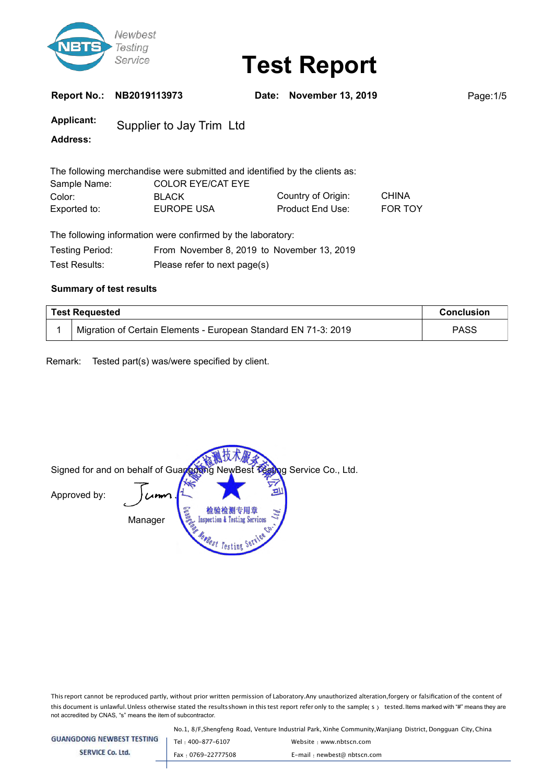

**Report No.: NB2019113973 Date: November 13, 2019** Page:1/5

**Applicant:** Supplier to Jay Trim Ltd

**Address:**

|              | The following merchandise were submitted and identified by the clients as: |                         |                |
|--------------|----------------------------------------------------------------------------|-------------------------|----------------|
| Sample Name: | <b>COLOR EYE/CAT EYE</b>                                                   |                         |                |
| Color:       | <b>BLACK</b>                                                               | Country of Origin:      | <b>CHINA</b>   |
| Exported to: | EUROPE USA                                                                 | <b>Product End Use:</b> | <b>FOR TOY</b> |

|                 | The following information were confirmed by the laboratory: |
|-----------------|-------------------------------------------------------------|
| Testing Period: | From November 8, 2019 to November 13, 2019                  |
| Test Results: l | Please refer to next page(s)                                |

### **Summary of test results**

| <b>Test Requested</b> |                                                                 | <b>Conclusion</b> |
|-----------------------|-----------------------------------------------------------------|-------------------|
|                       | Migration of Certain Elements - European Standard EN 71-3: 2019 | <b>PASS</b>       |

Remark: Tested part(s) was/were specified by client.

Signed for and on behalf of Guangdong NewBest Testing Service Co., Ltd. ¤ Approved by:  $L$ m 检验检测专用章 Manager **Inspection & Testing Services PRest Testing** 

This report cannot be reproduced partly, without prior written permission of Laboratory.Any unauthorized alteration,forgery or falsification of the content of this document is unlawful. Unless otherwise stated the results shown in this test report refer only to the sample(s) tested. Items marked with "#" means they are not accredited by CNAS, "s" means the item of subcontractor.

No.1, 8/F,Shengfeng Road, Venture Industrial Park, Xinhe Community,Wanjiang District, Dongguan City, China

| <b>GUANGDONG NEWBEST TESTING</b> | Tel: 400-877-6107  | Website: www.nbtscn.com      |
|----------------------------------|--------------------|------------------------------|
| SERVICE Co. Ltd.                 | Fax: 0769-22777508 | E-mail : newbest@ nbtscn.com |
|                                  |                    |                              |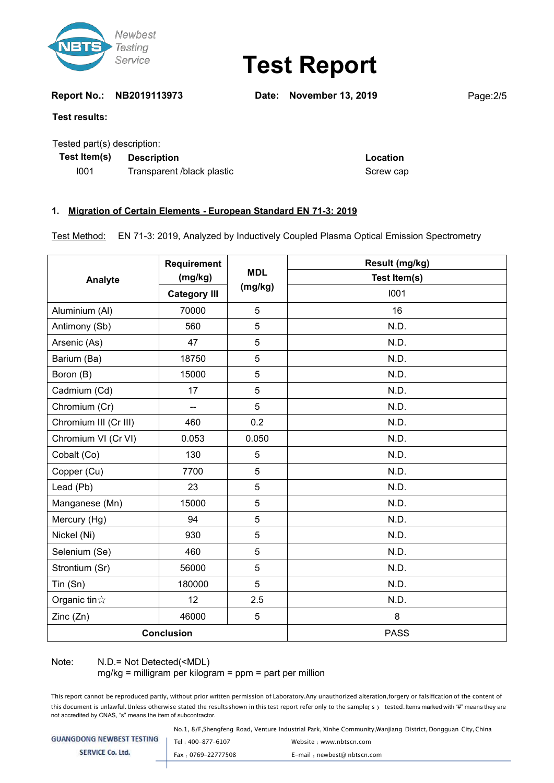

**Report No.: NB2019113973 Date: November 13, 2019** Page:2/5

### **Test results:**

### Tested part(s) description:

**Test Item(s) Description Location**

I001 Transparent /black plastic Transparent /black plastic Screw cap

### **1. Migration of Certain Elements - European Standard EN 71-3: 2019**

Test Method: EN 71-3: 2019, Analyzed by Inductively Coupled Plasma Optical Emission Spectrometry

|                       | Requirement              | <b>MDL</b><br>(mg/kg) | Result (mg/kg) |  |
|-----------------------|--------------------------|-----------------------|----------------|--|
| Analyte               | (mg/kg)                  |                       | Test Item(s)   |  |
|                       | <b>Category III</b>      |                       | 1001           |  |
| Aluminium (AI)        | 70000                    | 5                     | 16             |  |
| Antimony (Sb)         | 560                      | 5                     | N.D.           |  |
| Arsenic (As)          | 47                       | 5                     | N.D.           |  |
| Barium (Ba)           | 18750                    | 5                     | N.D.           |  |
| Boron (B)             | 15000                    | 5                     | N.D.           |  |
| Cadmium (Cd)          | 17                       | 5                     | N.D.           |  |
| Chromium (Cr)         | $\overline{\phantom{a}}$ | 5                     | N.D.           |  |
| Chromium III (Cr III) | 460                      | 0.2                   | N.D.           |  |
| Chromium VI (Cr VI)   | 0.053                    | 0.050                 | N.D.           |  |
| Cobalt (Co)           | 130                      | 5                     | N.D.           |  |
| Copper (Cu)           | 7700                     | 5                     | N.D.           |  |
| Lead (Pb)             | 23                       | 5                     | N.D.           |  |
| Manganese (Mn)        | 15000                    | 5                     | N.D.           |  |
| Mercury (Hg)          | 94                       | 5                     | N.D.           |  |
| Nickel (Ni)           | 930                      | 5                     | N.D.           |  |
| Selenium (Se)         | 460                      | 5                     | N.D.           |  |
| Strontium (Sr)        | 56000                    | 5                     | N.D.           |  |
| Tin (Sn)              | 180000                   | 5                     | N.D.           |  |
| Organic tin $\&$      | 12                       | 2.5                   | N.D.           |  |
| Zinc(Zn)              | 46000                    | $\overline{5}$        | 8              |  |
| <b>Conclusion</b>     |                          |                       | <b>PASS</b>    |  |

### Note: N.D.= Not Detected(<MDL)

 $mg/kg$  = milligram per kilogram = ppm = part per million

This report cannot be reproduced partly, without prior written permission of Laboratory.Any unauthorized alteration,forgery or falsification of the content of this document is unlawful. Unless otherwise stated the results shown in this test report refer only to the sample(s) tested. Items marked with "#" means they are not accredited by CNAS, "s" means the item of subcontractor.

No.1, 8/F,Shengfeng Road, Venture Industrial Park, Xinhe Community,Wanjiang District, Dongguan City, China

| <b>GUANGDONG NEWBEST TESTING</b> | Tel: 400-877-6107  | Website: www.nbtscn.com     |
|----------------------------------|--------------------|-----------------------------|
| <b>SERVICE Co. Ltd.</b>          | Fax: 0769-22777508 | E-mail: newbest@ nbtscn.com |
|                                  |                    |                             |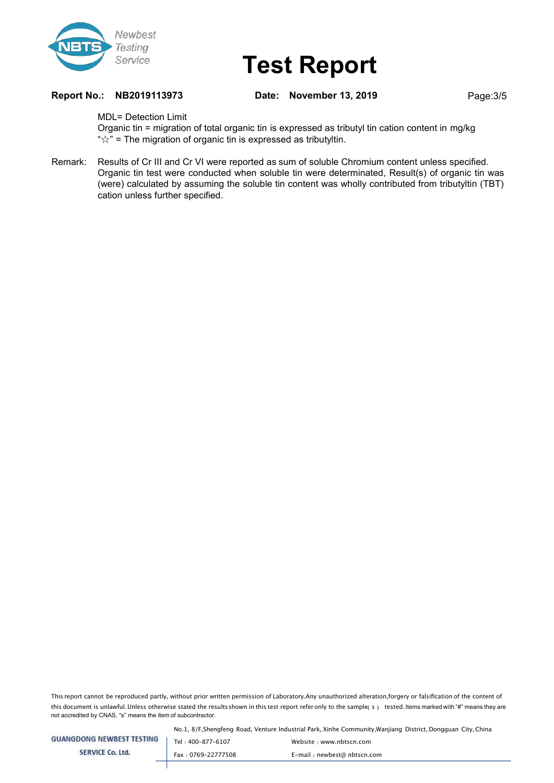

**Report No.: NB2019113973 Date: November 13, 2019** Page:3/5

MDL= Detection Limit

Organic tin = migration of total organic tin is expressed as tributyl tin cation content in mg/kg " $\forall$ " = The migration of organic tin is expressed as tributyltin.

Remark: Results of Cr III and Cr VI were reported as sum of soluble Chromium content unless specified. Organic tin test were conducted when soluble tin were determinated, Result(s) of organic tin was (were) calculated by assuming the soluble tin content was wholly contributed from tributyltin (TBT) cation unless further specified.

This report cannot be reproduced partly, without prior written permission of Laboratory.Any unauthorized alteration,forgery or falsification of the content of this document is unlawful. Unless otherwise stated the results shown in this test report refer only to the sample(s) tested. Items marked with "#" means they are not accredited by CNAS, "s" means the item of subcontractor.

No.1, 8/F,Shengfeng Road, Venture Industrial Park, Xinhe Community,Wanjiang District, Dongguan City, China

| <b>GUANGDONG NEWBEST TESTING</b> | Tel: 400-877-6107  | Website: www.nbtscn.com     |
|----------------------------------|--------------------|-----------------------------|
| <b>SERVICE Co. Ltd.</b>          | Fax: 0769-22777508 | E-mail: newbest@ nbtscn.com |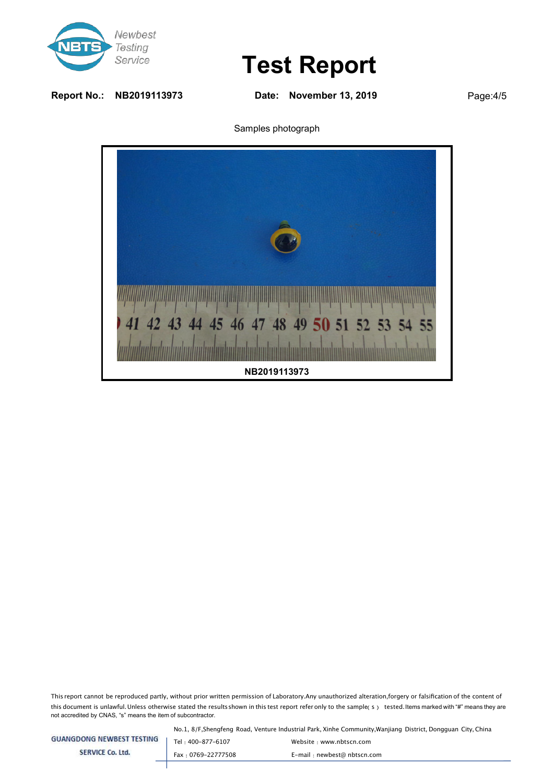

**Report No.: NB2019113973 Date: November 13, 2019** Page:4/5

Samples photograph



This report cannot be reproduced partly, without prior written permission of Laboratory.Any unauthorized alteration,forgery or falsification of the content of this document is unlawful. Unless otherwise stated the results shown in this test report refer only to the sample(s) tested. Items marked with "#" means they are not accredited by CNAS, "s" means the item of subcontractor.

No.1, 8/F,Shengfeng Road, Venture Industrial Park, Xinhe Community,Wanjiang District, Dongguan City, China

| <b>GUANGDONG NEWBEST TESTING</b> |  |  |
|----------------------------------|--|--|
|                                  |  |  |

**SERVICE Co. Ltd.** 

Tel: 400-877-6107 Website: www.nbtscn.com Fax : 0769-22777508 E-mail : newbest@ nbtscn.com